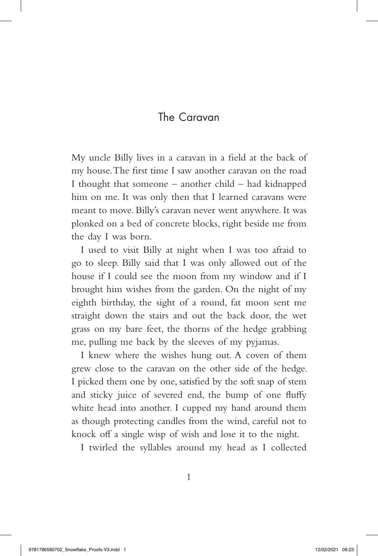# The Caravan

My uncle Billy lives in a caravan in a field at the back of my house. The first time I saw another caravan on the road I thought that someone – another child – had kidnapped him on me. It was only then that I learned caravans were meant to move. Billy's caravan never went anywhere. It was plonked on a bed of concrete blocks, right beside me from the day I was born.

I used to visit Billy at night when I was too afraid to go to sleep. Billy said that I was only allowed out of the house if I could see the moon from my window and if I brought him wishes from the garden. On the night of my eighth birthday, the sight of a round, fat moon sent me straight down the stairs and out the back door, the wet grass on my bare feet, the thorns of the hedge grabbing me, pulling me back by the sleeves of my pyjamas.

I knew where the wishes hung out. A coven of them grew close to the caravan on the other side of the hedge. I picked them one by one, satisfied by the soft snap of stem and sticky juice of severed end, the bump of one fluffy white head into another. I cupped my hand around them as though protecting candles from the wind, careful not to knock off a single wisp of wish and lose it to the night.

I twirled the syllables around my head as I collected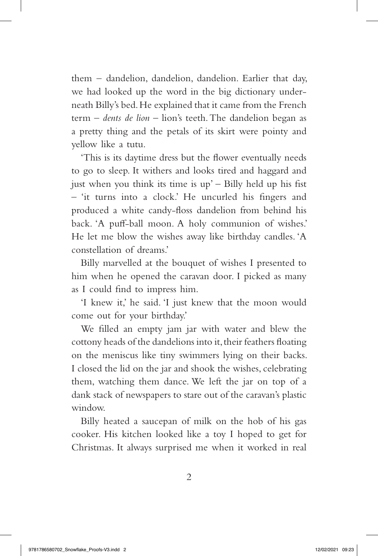them – dandelion, dandelion, dandelion. Earlier that day, we had looked up the word in the big dictionary underneath Billy's bed. He explained that it came from the French term – *dents de lion –* lion's teeth. The dandelion began as a pretty thing and the petals of its skirt were pointy and yellow like a tutu.

'This is its daytime dress but the flower eventually needs to go to sleep. It withers and looks tired and haggard and just when you think its time is  $up'$  – Billy held up his fist – 'it turns into a clock.' He uncurled his fingers and produced a white candy-floss dandelion from behind his back. 'A puff-ball moon. A holy communion of wishes.' He let me blow the wishes away like birthday candles. 'A constellation of dreams.'

Billy marvelled at the bouquet of wishes I presented to him when he opened the caravan door. I picked as many as I could find to impress him.

'I knew it,' he said. 'I just knew that the moon would come out for your birthday.'

We filled an empty jam jar with water and blew the cottony heads of the dandelions into it, their feathers floating on the meniscus like tiny swimmers lying on their backs. I closed the lid on the jar and shook the wishes, celebrating them, watching them dance. We left the jar on top of a dank stack of newspapers to stare out of the caravan's plastic window.

Billy heated a saucepan of milk on the hob of his gas cooker. His kitchen looked like a toy I hoped to get for Christmas. It always surprised me when it worked in real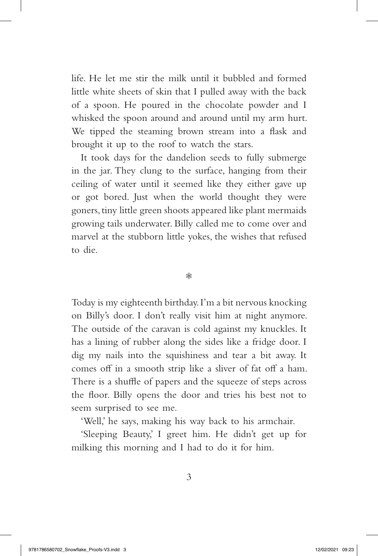life. He let me stir the milk until it bubbled and formed little white sheets of skin that I pulled away with the back of a spoon. He poured in the chocolate powder and I whisked the spoon around and around until my arm hurt. We tipped the steaming brown stream into a flask and brought it up to the roof to watch the stars.

It took days for the dandelion seeds to fully submerge in the jar. They clung to the surface, hanging from their ceiling of water until it seemed like they either gave up or got bored. Just when the world thought they were goners, tiny little green shoots appeared like plant mermaids growing tails underwater. Billy called me to come over and marvel at the stubborn little yokes, the wishes that refused to die.

❅

Today is my eighteenth birthday. I'm a bit nervous knocking on Billy's door. I don't really visit him at night anymore. The outside of the caravan is cold against my knuckles. It has a lining of rubber along the sides like a fridge door. I dig my nails into the squishiness and tear a bit away. It comes off in a smooth strip like a sliver of fat off a ham. There is a shuffle of papers and the squeeze of steps across the floor. Billy opens the door and tries his best not to seem surprised to see me.

'Well,' he says, making his way back to his armchair.

'Sleeping Beauty,' I greet him. He didn't get up for milking this morning and I had to do it for him.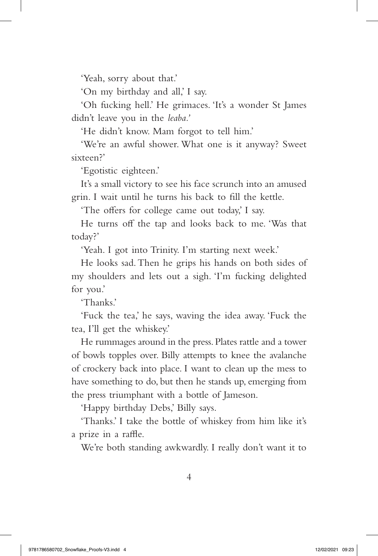'Yeah, sorry about that.'

'On my birthday and all,' I say.

'Oh fucking hell.' He grimaces. 'It's a wonder St James didn't leave you in the *leaba.'*

'He didn't know. Mam forgot to tell him.'

'We're an awful shower. What one is it anyway? Sweet sixteen?'

'Egotistic eighteen.'

It's a small victory to see his face scrunch into an amused grin. I wait until he turns his back to fill the kettle.

'The offers for college came out today,' I say.

He turns off the tap and looks back to me. 'Was that today?'

'Yeah. I got into Trinity. I'm starting next week.'

He looks sad. Then he grips his hands on both sides of my shoulders and lets out a sigh. 'I'm fucking delighted for you.'

'Thanks.'

'Fuck the tea,' he says, waving the idea away. 'Fuck the tea, I'll get the whiskey.'

He rummages around in the press. Plates rattle and a tower of bowls topples over. Billy attempts to knee the avalanche of crockery back into place. I want to clean up the mess to have something to do, but then he stands up, emerging from the press triumphant with a bottle of Jameson.

'Happy birthday Debs,' Billy says.

'Thanks.' I take the bottle of whiskey from him like it's a prize in a raffle.

We're both standing awkwardly. I really don't want it to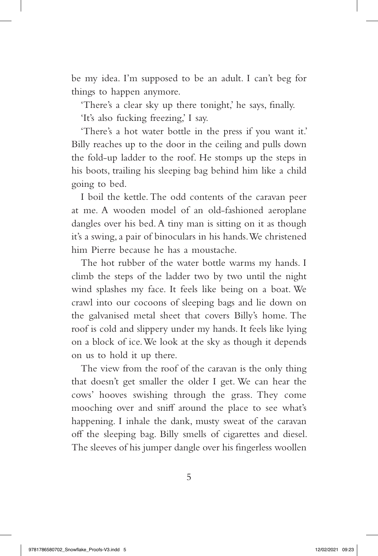be my idea. I'm supposed to be an adult. I can't beg for things to happen anymore.

'There's a clear sky up there tonight,' he says, finally.

'It's also fucking freezing,' I say.

'There's a hot water bottle in the press if you want it.' Billy reaches up to the door in the ceiling and pulls down the fold-up ladder to the roof. He stomps up the steps in his boots, trailing his sleeping bag behind him like a child going to bed.

I boil the kettle. The odd contents of the caravan peer at me. A wooden model of an old-fashioned aeroplane dangles over his bed. A tiny man is sitting on it as though it's a swing, a pair of binoculars in his hands. We christened him Pierre because he has a moustache.

The hot rubber of the water bottle warms my hands. I climb the steps of the ladder two by two until the night wind splashes my face. It feels like being on a boat. We crawl into our cocoons of sleeping bags and lie down on the galvanised metal sheet that covers Billy's home. The roof is cold and slippery under my hands. It feels like lying on a block of ice. We look at the sky as though it depends on us to hold it up there.

The view from the roof of the caravan is the only thing that doesn't get smaller the older I get. We can hear the cows' hooves swishing through the grass. They come mooching over and sniff around the place to see what's happening. I inhale the dank, musty sweat of the caravan off the sleeping bag. Billy smells of cigarettes and diesel. The sleeves of his jumper dangle over his fingerless woollen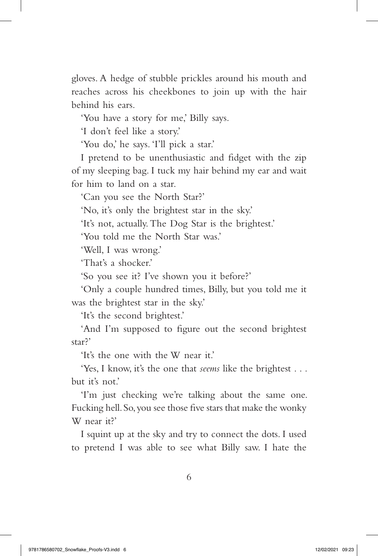gloves. A hedge of stubble prickles around his mouth and reaches across his cheekbones to join up with the hair behind his ears.

'You have a story for me,' Billy says.

'I don't feel like a story.'

'You do,' he says. 'I'll pick a star.'

I pretend to be unenthusiastic and fidget with the zip of my sleeping bag. I tuck my hair behind my ear and wait for him to land on a star.

'Can you see the North Star?'

'No, it's only the brightest star in the sky.'

'It's not, actually. The Dog Star is the brightest.'

'You told me the North Star was.'

'Well, I was wrong.'

'That's a shocker.'

'So you see it? I've shown you it before?'

'Only a couple hundred times, Billy, but you told me it was the brightest star in the sky.'

'It's the second brightest.'

'And I'm supposed to figure out the second brightest star?'

'It's the one with the W near it.'

'Yes, I know, it's the one that *seems* like the brightest . . . but it's not.'

'I'm just checking we're talking about the same one. Fucking hell. So, you see those five stars that make the wonky W near it?'

I squint up at the sky and try to connect the dots. I used to pretend I was able to see what Billy saw. I hate the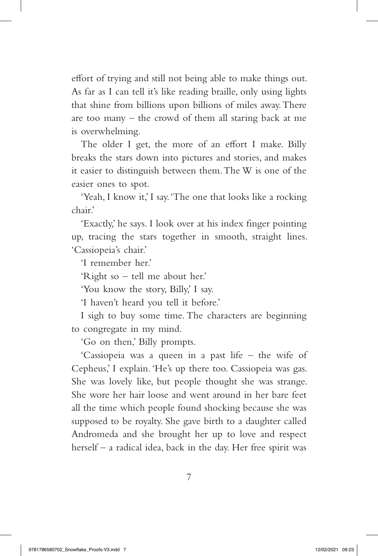effort of trying and still not being able to make things out. As far as I can tell it's like reading braille, only using lights that shine from billions upon billions of miles away. There are too many – the crowd of them all staring back at me is overwhelming.

The older I get, the more of an effort I make. Billy breaks the stars down into pictures and stories, and makes it easier to distinguish between them. The W is one of the easier ones to spot.

'Yeah, I know it,' I say. 'The one that looks like a rocking chair.'

'Exactly,' he says. I look over at his index finger pointing up, tracing the stars together in smooth, straight lines. 'Cassiopeia's chair.'

'I remember her.'

'Right so – tell me about her.'

'You know the story, Billy,' I say.

'I haven't heard you tell it before.'

I sigh to buy some time. The characters are beginning to congregate in my mind.

'Go on then,' Billy prompts.

'Cassiopeia was a queen in a past life – the wife of Cepheus,' I explain. 'He's up there too. Cassiopeia was gas. She was lovely like, but people thought she was strange. She wore her hair loose and went around in her bare feet all the time which people found shocking because she was supposed to be royalty. She gave birth to a daughter called Andromeda and she brought her up to love and respect herself – a radical idea, back in the day. Her free spirit was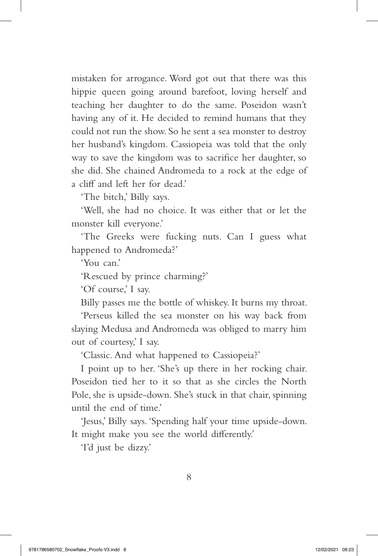mistaken for arrogance. Word got out that there was this hippie queen going around barefoot, loving herself and teaching her daughter to do the same. Poseidon wasn't having any of it. He decided to remind humans that they could not run the show. So he sent a sea monster to destroy her husband's kingdom. Cassiopeia was told that the only way to save the kingdom was to sacrifice her daughter, so she did. She chained Andromeda to a rock at the edge of a cliff and left her for dead.'

'The bitch,' Billy says.

'Well, she had no choice. It was either that or let the monster kill everyone.'

'The Greeks were fucking nuts. Can I guess what happened to Andromeda?'

'You can.'

'Rescued by prince charming?'

'Of course,' I say.

Billy passes me the bottle of whiskey. It burns my throat.

'Perseus killed the sea monster on his way back from slaying Medusa and Andromeda was obliged to marry him out of courtesy,' I say.

'Classic. And what happened to Cassiopeia?'

I point up to her. 'She's up there in her rocking chair. Poseidon tied her to it so that as she circles the North Pole, she is upside-down. She's stuck in that chair, spinning until the end of time.'

'Jesus,' Billy says. 'Spending half your time upside-down. It might make you see the world differently.'

'I'd just be dizzy.'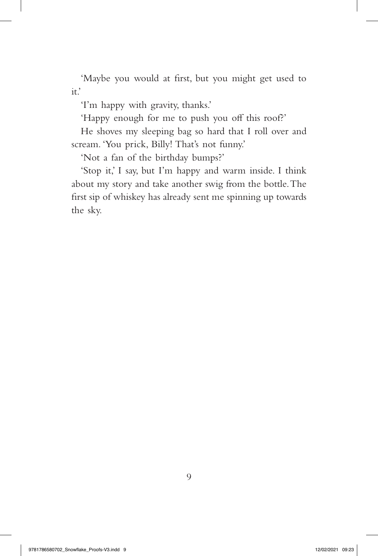'Maybe you would at first, but you might get used to it.'

'I'm happy with gravity, thanks.'

'Happy enough for me to push you off this roof?'

He shoves my sleeping bag so hard that I roll over and scream. 'You prick, Billy! That's not funny.'

'Not a fan of the birthday bumps?'

'Stop it,' I say, but I'm happy and warm inside. I think about my story and take another swig from the bottle. The first sip of whiskey has already sent me spinning up towards the sky.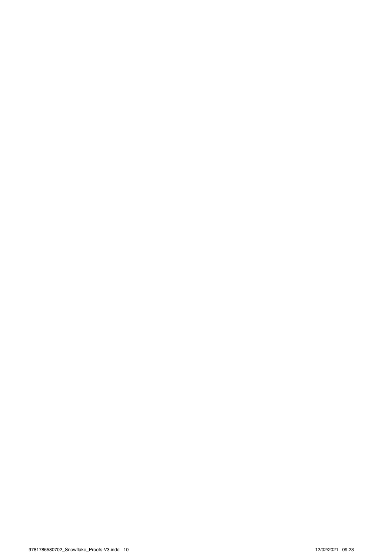$\overline{\phantom{a}}$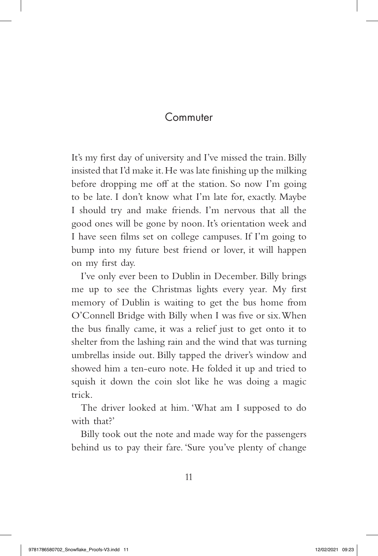### **Commuter**

It's my first day of university and I've missed the train. Billy insisted that I'd make it. He was late finishing up the milking before dropping me off at the station. So now I'm going to be late. I don't know what I'm late for, exactly. Maybe I should try and make friends. I'm nervous that all the good ones will be gone by noon. It's orientation week and I have seen films set on college campuses. If I'm going to bump into my future best friend or lover, it will happen on my first day.

I've only ever been to Dublin in December. Billy brings me up to see the Christmas lights every year. My first memory of Dublin is waiting to get the bus home from O'Connell Bridge with Billy when I was five or six. When the bus finally came, it was a relief just to get onto it to shelter from the lashing rain and the wind that was turning umbrellas inside out. Billy tapped the driver's window and showed him a ten-euro note. He folded it up and tried to squish it down the coin slot like he was doing a magic trick.

The driver looked at him. 'What am I supposed to do with that?'

Billy took out the note and made way for the passengers behind us to pay their fare. 'Sure you've plenty of change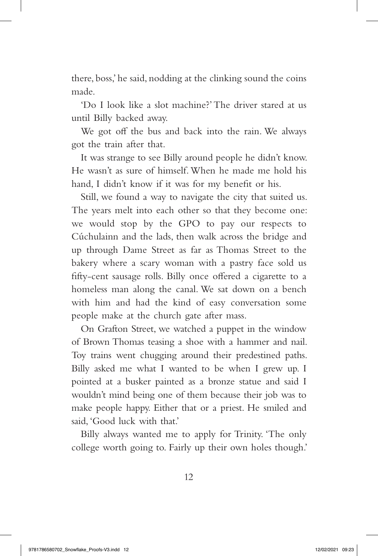there, boss,' he said, nodding at the clinking sound the coins made.

'Do I look like a slot machine?' The driver stared at us until Billy backed away.

We got off the bus and back into the rain. We always got the train after that.

It was strange to see Billy around people he didn't know. He wasn't as sure of himself. When he made me hold his hand, I didn't know if it was for my benefit or his.

Still, we found a way to navigate the city that suited us. The years melt into each other so that they become one: we would stop by the GPO to pay our respects to Cúchulainn and the lads, then walk across the bridge and up through Dame Street as far as Thomas Street to the bakery where a scary woman with a pastry face sold us fifty-cent sausage rolls. Billy once offered a cigarette to a homeless man along the canal. We sat down on a bench with him and had the kind of easy conversation some people make at the church gate after mass.

On Grafton Street, we watched a puppet in the window of Brown Thomas teasing a shoe with a hammer and nail. Toy trains went chugging around their predestined paths. Billy asked me what I wanted to be when I grew up. I pointed at a busker painted as a bronze statue and said I wouldn't mind being one of them because their job was to make people happy. Either that or a priest. He smiled and said, 'Good luck with that.'

Billy always wanted me to apply for Trinity. 'The only college worth going to. Fairly up their own holes though.'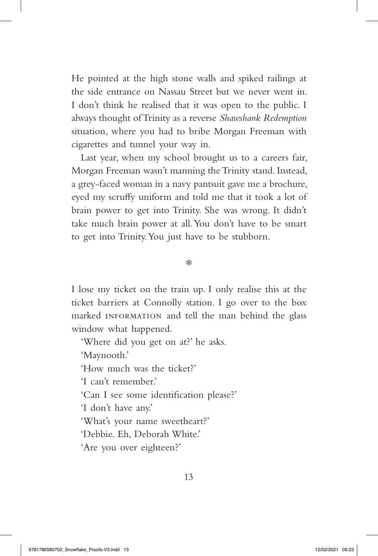He pointed at the high stone walls and spiked railings at the side entrance on Nassau Street but we never went in. I don't think he realised that it was open to the public. I always thought of Trinity as a reverse *Shawshank Redemption* situation*,* where you had to bribe Morgan Freeman with cigarettes and tunnel your way in.

Last year, when my school brought us to a careers fair, Morgan Freeman wasn't manning the Trinity stand. Instead, a grey-faced woman in a navy pantsuit gave me a brochure, eyed my scruffy uniform and told me that it took a lot of brain power to get into Trinity. She was wrong. It didn't take much brain power at all. You don't have to be smart to get into Trinity. You just have to be stubborn.

#### ❅

I lose my ticket on the train up. I only realise this at the ticket barriers at Connolly station. I go over to the box marked INFORMATION and tell the man behind the glass window what happened.

'Where did you get on at?' he asks. 'Maynooth.' 'How much was the ticket?' 'I can't remember.' 'Can I see some identification please?' 'I don't have any.' 'What's your name sweetheart?' 'Debbie. Eh, Deborah White.' 'Are you over eighteen?'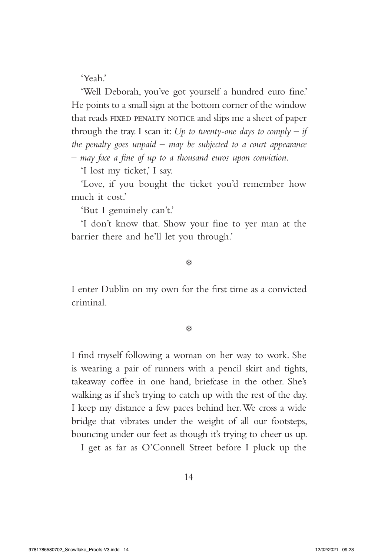'Yeah.'

'Well Deborah, you've got yourself a hundred euro fine.' He points to a small sign at the bottom corner of the window that reads FIXED PENALTY NOTICE and slips me a sheet of paper through the tray. I scan it: *Up to twenty-one days to comply – if the penalty goes unpaid – may be subjected to a court appearance – may face a fine of up to a thousand euros upon conviction.*

'I lost my ticket,' I say.

'Love, if you bought the ticket you'd remember how much it cost'

'But I genuinely can't.'

'I don't know that. Show your fine to yer man at the barrier there and he'll let you through.'

### ❅

I enter Dublin on my own for the first time as a convicted criminal.

❅

I find myself following a woman on her way to work. She is wearing a pair of runners with a pencil skirt and tights, takeaway coffee in one hand, briefcase in the other. She's walking as if she's trying to catch up with the rest of the day. I keep my distance a few paces behind her. We cross a wide bridge that vibrates under the weight of all our footsteps, bouncing under our feet as though it's trying to cheer us up.

I get as far as O'Connell Street before I pluck up the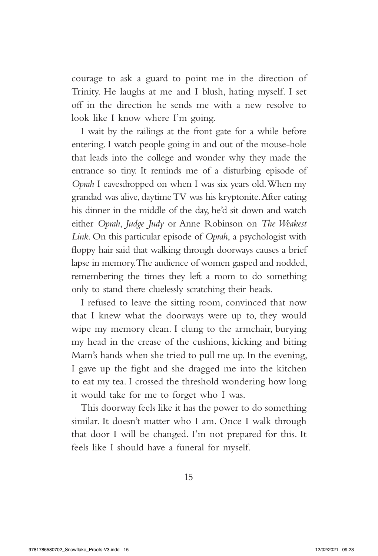courage to ask a guard to point me in the direction of Trinity. He laughs at me and I blush, hating myself. I set off in the direction he sends me with a new resolve to look like I know where I'm going.

I wait by the railings at the front gate for a while before entering. I watch people going in and out of the mouse-hole that leads into the college and wonder why they made the entrance so tiny. It reminds me of a disturbing episode of *Oprah* I eavesdropped on when I was six years old. When my grandad was alive, daytime TV was his kryptonite. After eating his dinner in the middle of the day, he'd sit down and watch either *Oprah*, *Judge Judy* or Anne Robinson on *The Weakest Link*. On this particular episode of *Oprah*, a psychologist with floppy hair said that walking through doorways causes a brief lapse in memory. The audience of women gasped and nodded, remembering the times they left a room to do something only to stand there cluelessly scratching their heads.

I refused to leave the sitting room, convinced that now that I knew what the doorways were up to, they would wipe my memory clean. I clung to the armchair, burying my head in the crease of the cushions, kicking and biting Mam's hands when she tried to pull me up. In the evening, I gave up the fight and she dragged me into the kitchen to eat my tea. I crossed the threshold wondering how long it would take for me to forget who I was.

This doorway feels like it has the power to do something similar. It doesn't matter who I am. Once I walk through that door I will be changed. I'm not prepared for this. It feels like I should have a funeral for myself.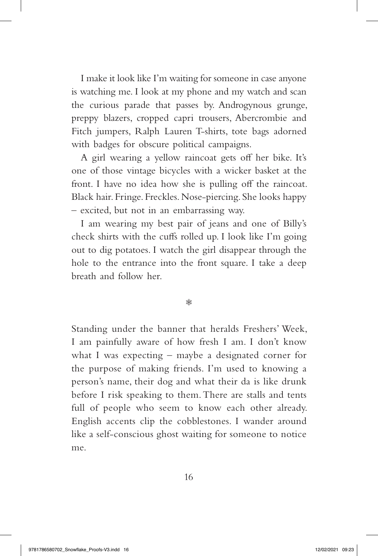I make it look like I'm waiting for someone in case anyone is watching me. I look at my phone and my watch and scan the curious parade that passes by. Androgynous grunge, preppy blazers, cropped capri trousers, Abercrombie and Fitch jumpers, Ralph Lauren T-shirts, tote bags adorned with badges for obscure political campaigns.

A girl wearing a yellow raincoat gets off her bike. It's one of those vintage bicycles with a wicker basket at the front. I have no idea how she is pulling off the raincoat. Black hair. Fringe. Freckles. Nose-piercing. She looks happy – excited, but not in an embarrassing way.

I am wearing my best pair of jeans and one of Billy's check shirts with the cuffs rolled up. I look like I'm going out to dig potatoes. I watch the girl disappear through the hole to the entrance into the front square. I take a deep breath and follow her.

❅

Standing under the banner that heralds Freshers' Week, I am painfully aware of how fresh I am. I don't know what I was expecting – maybe a designated corner for the purpose of making friends. I'm used to knowing a person's name, their dog and what their da is like drunk before I risk speaking to them. There are stalls and tents full of people who seem to know each other already. English accents clip the cobblestones. I wander around like a self-conscious ghost waiting for someone to notice me.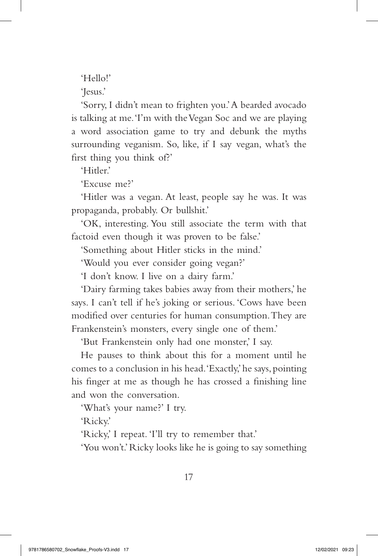'Hello!'

'Jesus.'

'Sorry, I didn't mean to frighten you.' A bearded avocado is talking at me. 'I'm with the Vegan Soc and we are playing a word association game to try and debunk the myths surrounding veganism. So, like, if I say vegan, what's the first thing you think of?'

'Hitler'

'Excuse me?'

'Hitler was a vegan. At least, people say he was. It was propaganda, probably. Or bullshit.'

'OK, interesting. You still associate the term with that factoid even though it was proven to be false.'

'Something about Hitler sticks in the mind.'

'Would you ever consider going vegan?'

'I don't know. I live on a dairy farm.'

'Dairy farming takes babies away from their mothers,' he says. I can't tell if he's joking or serious. 'Cows have been modified over centuries for human consumption. They are Frankenstein's monsters, every single one of them.'

'But Frankenstein only had one monster,' I say.

He pauses to think about this for a moment until he comes to a conclusion in his head. 'Exactly,' he says, pointing his finger at me as though he has crossed a finishing line and won the conversation.

'What's your name?' I try.

'Ricky.'

'Ricky,' I repeat. 'I'll try to remember that.'

'You won't.' Ricky looks like he is going to say something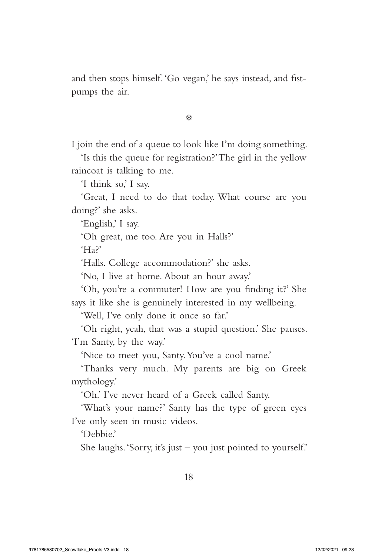and then stops himself. 'Go vegan,' he says instead, and fistpumps the air.

❅

I join the end of a queue to look like I'm doing something.

'Is this the queue for registration?' The girl in the yellow raincoat is talking to me.

'I think so,' I say.

'Great, I need to do that today. What course are you doing?' she asks.

'English,' I say.

'Oh great, me too. Are you in Halls?'

'Ha?'

'Halls. College accommodation?' she asks.

'No, I live at home. About an hour away.'

'Oh, you're a commuter! How are you finding it?' She says it like she is genuinely interested in my wellbeing.

'Well, I've only done it once so far.'

'Oh right, yeah, that was a stupid question.' She pauses. 'I'm Santy, by the way.'

'Nice to meet you, Santy. You've a cool name.'

'Thanks very much. My parents are big on Greek mythology.'

'Oh.' I've never heard of a Greek called Santy.

'What's your name?' Santy has the type of green eyes I've only seen in music videos.

'Debbie.'

She laughs. 'Sorry, it's just – you just pointed to yourself.'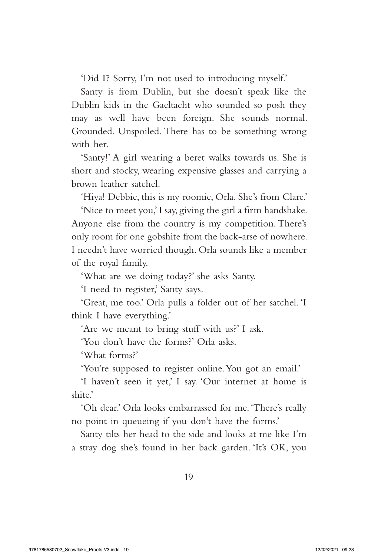'Did I? Sorry, I'm not used to introducing myself.'

Santy is from Dublin, but she doesn't speak like the Dublin kids in the Gaeltacht who sounded so posh they may as well have been foreign. She sounds normal. Grounded. Unspoiled. There has to be something wrong with her.

'Santy!' A girl wearing a beret walks towards us. She is short and stocky, wearing expensive glasses and carrying a brown leather satchel.

'Hiya! Debbie, this is my roomie, Orla. She's from Clare.'

'Nice to meet you,' I say, giving the girl a firm handshake. Anyone else from the country is my competition. There's only room for one gobshite from the back-arse of nowhere. I needn't have worried though. Orla sounds like a member of the royal family.

'What are we doing today?' she asks Santy.

'I need to register,' Santy says.

'Great, me too.' Orla pulls a folder out of her satchel. 'I think I have everything.'

'Are we meant to bring stuff with us?' I ask.

'You don't have the forms?' Orla asks.

'What forms?'

'You're supposed to register online. You got an email.'

'I haven't seen it yet,' I say. 'Our internet at home is shite.'

'Oh dear.' Orla looks embarrassed for me. 'There's really no point in queueing if you don't have the forms.'

Santy tilts her head to the side and looks at me like I'm a stray dog she's found in her back garden. 'It's OK, you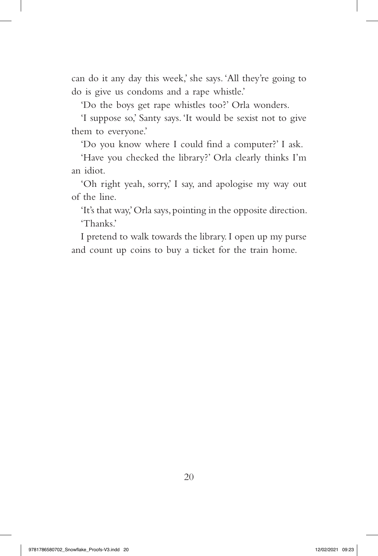can do it any day this week,' she says. 'All they're going to do is give us condoms and a rape whistle.'

'Do the boys get rape whistles too?' Orla wonders.

'I suppose so,' Santy says. 'It would be sexist not to give them to everyone.'

'Do you know where I could find a computer?' I ask.

'Have you checked the library?' Orla clearly thinks I'm an idiot.

'Oh right yeah, sorry,' I say, and apologise my way out of the line.

'It's that way,' Orla says, pointing in the opposite direction. 'Thanks.'

I pretend to walk towards the library. I open up my purse and count up coins to buy a ticket for the train home.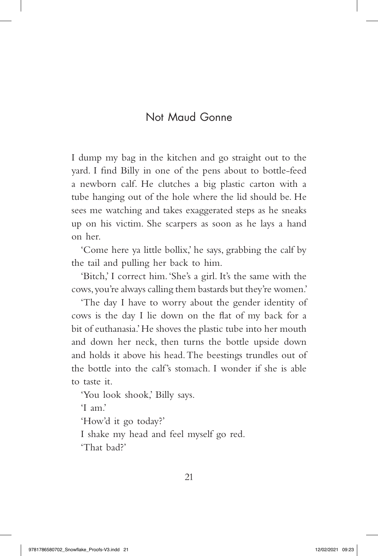# Not Maud Gonne

I dump my bag in the kitchen and go straight out to the yard. I find Billy in one of the pens about to bottle-feed a newborn calf. He clutches a big plastic carton with a tube hanging out of the hole where the lid should be. He sees me watching and takes exaggerated steps as he sneaks up on his victim. She scarpers as soon as he lays a hand on her.

'Come here ya little bollix,' he says, grabbing the calf by the tail and pulling her back to him.

'Bitch,' I correct him. 'She's a girl. It's the same with the cows, you're always calling them bastards but they're women.'

'The day I have to worry about the gender identity of cows is the day I lie down on the flat of my back for a bit of euthanasia.' He shoves the plastic tube into her mouth and down her neck, then turns the bottle upside down and holds it above his head. The beestings trundles out of the bottle into the calf's stomach. I wonder if she is able to taste it.

'You look shook,' Billy says.

'I am.'

'How'd it go today?'

I shake my head and feel myself go red.

'That bad?'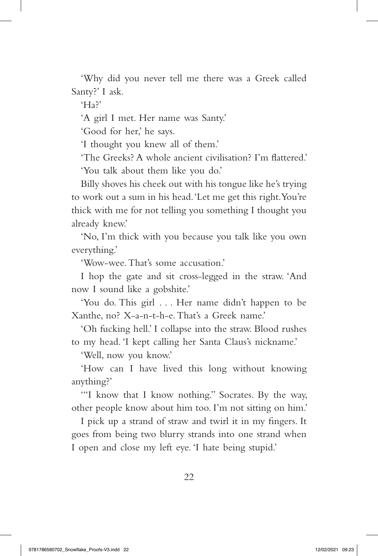'Why did you never tell me there was a Greek called Santy?' I ask.

'Ha?'

'A girl I met. Her name was Santy.'

'Good for her,' he says.

'I thought you knew all of them.'

'The Greeks? A whole ancient civilisation? I'm flattered.' 'You talk about them like you do.'

Billy shoves his cheek out with his tongue like he's trying to work out a sum in his head. 'Let me get this right. You're thick with me for not telling you something I thought you already knew.'

'No, I'm thick with you because you talk like you own everything.'

'Wow-wee. That's some accusation.'

I hop the gate and sit cross-legged in the straw. 'And now I sound like a gobshite.'

'You do. This girl . . . Her name didn't happen to be Xanthe, no? X-a-n-t-h-e. That's a Greek name.'

'Oh fucking hell.' I collapse into the straw. Blood rushes to my head. 'I kept calling her Santa Claus's nickname.'

'Well, now you know.'

'How can I have lived this long without knowing anything?'

'"I know that I know nothing." Socrates. By the way, other people know about him too. I'm not sitting on him.'

I pick up a strand of straw and twirl it in my fingers. It goes from being two blurry strands into one strand when I open and close my left eye. 'I hate being stupid.'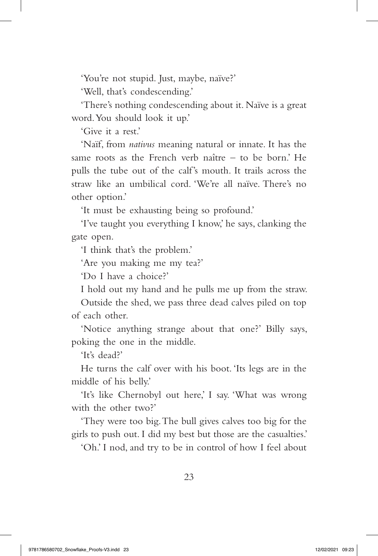'You're not stupid. Just, maybe, naïve?'

'Well, that's condescending.'

'There's nothing condescending about it. Naïve is a great word. You should look it up.'

'Give it a rest.'

'Naïf, from *nativus* meaning natural or innate. It has the same roots as the French verb naître – to be born.' He pulls the tube out of the calf's mouth. It trails across the straw like an umbilical cord. 'We're all naïve. There's no other option.'

'It must be exhausting being so profound.'

'I've taught you everything I know,' he says, clanking the gate open.

'I think that's the problem.'

'Are you making me my tea?'

'Do I have a choice?'

I hold out my hand and he pulls me up from the straw.

Outside the shed, we pass three dead calves piled on top of each other.

'Notice anything strange about that one?' Billy says, poking the one in the middle.

'It's dead?'

He turns the calf over with his boot. 'Its legs are in the middle of his belly.'

'It's like Chernobyl out here,' I say. 'What was wrong with the other two?'

'They were too big. The bull gives calves too big for the girls to push out. I did my best but those are the casualties.'

'Oh.' I nod, and try to be in control of how I feel about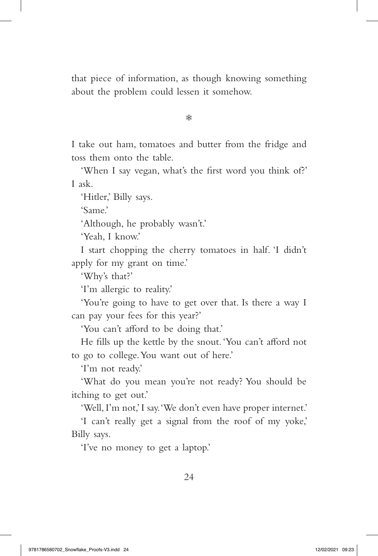that piece of information, as though knowing something about the problem could lessen it somehow.

❅

I take out ham, tomatoes and butter from the fridge and toss them onto the table.

'When I say vegan, what's the first word you think of?' I ask.

'Hitler,' Billy says.

'Same.'

'Although, he probably wasn't.'

'Yeah, I know.'

I start chopping the cherry tomatoes in half. 'I didn't apply for my grant on time.'

'Why's that?'

'I'm allergic to reality.'

'You're going to have to get over that. Is there a way I can pay your fees for this year?'

'You can't afford to be doing that.'

He fills up the kettle by the snout. 'You can't afford not to go to college. You want out of here.'

'I'm not ready.'

'What do you mean you're not ready? You should be itching to get out.'

'Well, I'm not,' I say. 'We don't even have proper internet.'

'I can't really get a signal from the roof of my yoke,' Billy says.

'I've no money to get a laptop.'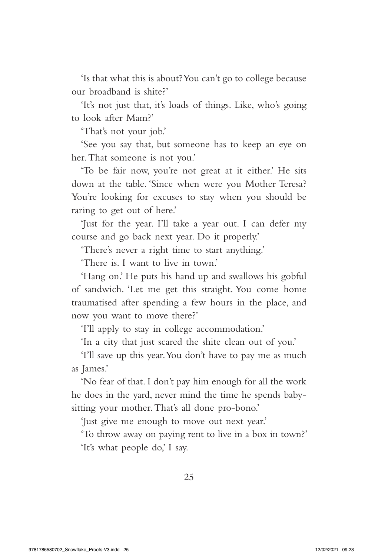'Is that what this is about? You can't go to college because our broadband is shite?'

'It's not just that, it's loads of things. Like, who's going to look after Mam?'

'That's not your job.'

'See you say that, but someone has to keep an eye on her. That someone is not you.'

'To be fair now, you're not great at it either.' He sits down at the table. 'Since when were you Mother Teresa? You're looking for excuses to stay when you should be raring to get out of here.'

'Just for the year. I'll take a year out. I can defer my course and go back next year. Do it properly.'

'There's never a right time to start anything.'

'There is. I want to live in town.'

'Hang on.' He puts his hand up and swallows his gobful of sandwich. 'Let me get this straight. You come home traumatised after spending a few hours in the place, and now you want to move there?'

'I'll apply to stay in college accommodation.'

'In a city that just scared the shite clean out of you.'

'I'll save up this year. You don't have to pay me as much as James.'

'No fear of that. I don't pay him enough for all the work he does in the yard, never mind the time he spends babysitting your mother. That's all done pro-bono.'

'Just give me enough to move out next year.'

'To throw away on paying rent to live in a box in town?' 'It's what people do,' I say.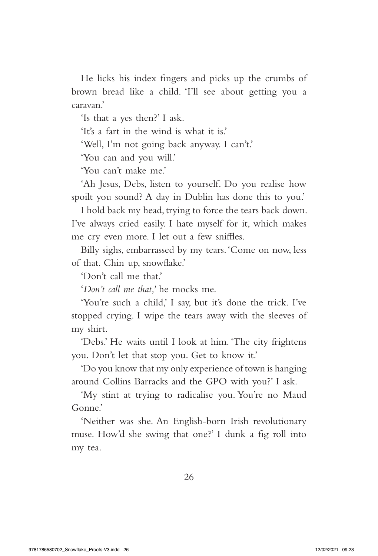He licks his index fingers and picks up the crumbs of brown bread like a child. 'I'll see about getting you a caravan.'

'Is that a yes then?' I ask.

'It's a fart in the wind is what it is.'

'Well, I'm not going back anyway. I can't.'

'You can and you will.'

'You can't make me.'

'Ah Jesus, Debs, listen to yourself. Do you realise how spoilt you sound? A day in Dublin has done this to you.'

I hold back my head, trying to force the tears back down. I've always cried easily. I hate myself for it, which makes me cry even more. I let out a few sniffles.

Billy sighs, embarrassed by my tears. 'Come on now, less of that. Chin up, snowflake.'

'Don't call me that.'

'*Don't call me that,'* he mocks me.

'You're such a child,' I say, but it's done the trick. I've stopped crying. I wipe the tears away with the sleeves of my shirt.

'Debs.' He waits until I look at him. 'The city frightens you. Don't let that stop you. Get to know it.'

'Do you know that my only experience of town is hanging around Collins Barracks and the GPO with you?' I ask.

'My stint at trying to radicalise you. You're no Maud Gonne.'

'Neither was she. An English-born Irish revolutionary muse. How'd she swing that one?' I dunk a fig roll into my tea.